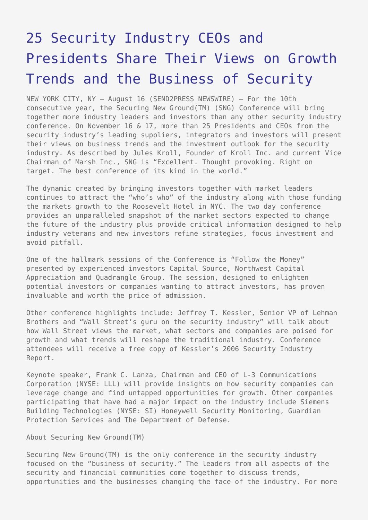## [25 Security Industry CEOs and](https://www.send2press.com/wire/2005-08-0816-012/) [Presidents Share Their Views on Growth](https://www.send2press.com/wire/2005-08-0816-012/) [Trends and the Business of Security](https://www.send2press.com/wire/2005-08-0816-012/)

NEW YORK CITY, NY – August 16 (SEND2PRESS NEWSWIRE) — For the 10th consecutive year, the Securing New Ground(TM) (SNG) Conference will bring together more industry leaders and investors than any other security industry conference. On November 16 & 17, more than 25 Presidents and CEOs from the security industry's leading suppliers, integrators and investors will present their views on business trends and the investment outlook for the security industry. As described by Jules Kroll, Founder of Kroll Inc. and current Vice Chairman of Marsh Inc., SNG is "Excellent. Thought provoking. Right on target. The best conference of its kind in the world."

The dynamic created by bringing investors together with market leaders continues to attract the "who's who" of the industry along with those funding the markets growth to the Roosevelt Hotel in NYC. The two day conference provides an unparalleled snapshot of the market sectors expected to change the future of the industry plus provide critical information designed to help industry veterans and new investors refine strategies, focus investment and avoid pitfall.

One of the hallmark sessions of the Conference is "Follow the Money" presented by experienced investors Capital Source, Northwest Capital Appreciation and Quadrangle Group. The session, designed to enlighten potential investors or companies wanting to attract investors, has proven invaluable and worth the price of admission.

Other conference highlights include: Jeffrey T. Kessler, Senior VP of Lehman Brothers and "Wall Street's guru on the security industry" will talk about how Wall Street views the market, what sectors and companies are poised for growth and what trends will reshape the traditional industry. Conference attendees will receive a free copy of Kessler's 2006 Security Industry Report.

Keynote speaker, Frank C. Lanza, Chairman and CEO of L-3 Communications Corporation (NYSE: LLL) will provide insights on how security companies can leverage change and find untapped opportunities for growth. Other companies participating that have had a major impact on the industry include Siemens Building Technologies (NYSE: SI) Honeywell Security Monitoring, Guardian Protection Services and The Department of Defense.

## About Securing New Ground(TM)

Securing New Ground(TM) is the only conference in the security industry focused on the "business of security." The leaders from all aspects of the security and financial communities come together to discuss trends, opportunities and the businesses changing the face of the industry. For more